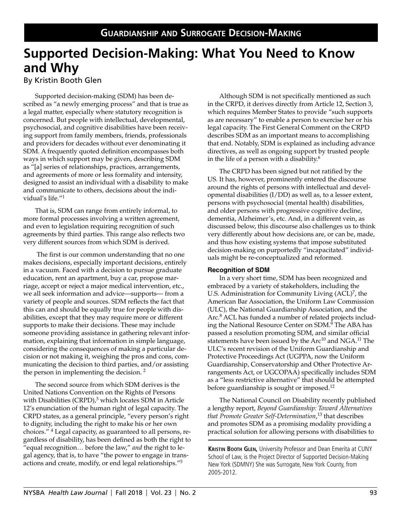# **Supported Decision-Making: What You Need to Know and Why**

By Kristin Booth Glen

Supported decision-making (SDM) has been described as "a newly emerging process" and that is true as a legal matter, especially where statutory recognition is concerned. But people with intellectual, developmental, psychosocial, and cognitive disabilities have been receiving support from family members, friends, professionals and providers for decades without ever denominating it SDM. A frequently quoted definition encompasses both ways in which support may be given, describing SDM as "[a] series of relationships, practices, arrangements, and agreements of more or less formality and intensity, designed to assist an individual with a disability to make and communicate to others, decisions about the individual's life."1

That is, SDM can range from entirely informal, to more formal processes involving a written agreement, and even to legislation requiring recognition of such agreements by third parties. This range also reflects two very different sources from which SDM is derived.

 The first is our common understanding that no one makes decisions, especially important decisions, entirely in a vacuum. Faced with a decision to pursue graduate education, rent an apartment, buy a car, propose marriage, accept or reject a major medical intervention, etc., we all seek information and advice—supports— from a variety of people and sources. SDM reflects the fact that this can and should be equally true for people with disabilities, except that they may require more or different supports to make their decisions. These may include someone providing assistance in gathering relevant information, explaining that information in simple language, considering the consequences of making a particular decision or not making it, weighing the pros and cons, communicating the decision to third parties, and/or assisting the person in implementing the decision. 2

The second source from which SDM derives is the United Nations Convention on the Rights of Persons with Disabilities  $(CRPD)<sup>3</sup>$  which locates SDM in Article 12's enunciation of the human right of legal capacity. The CRPD states, as a general principle, "every person's right to dignity, including the right to make his or her own choices." 4 Legal capacity, as guaranteed to all persons, regardless of disability, has been defined as both the right to "equal recognition… before the law," *and* the right to legal agency, that is, to have "the power to engage in transactions and create, modify, or end legal relationships."5

Although SDM is not specifically mentioned as such in the CRPD, it derives directly from Article 12, Section 3, which requires Member States to provide "such supports as are necessary" to enable a person to exercise her or his legal capacity. The First General Comment on the CRPD describes SDM as an important means to accomplishing that end. Notably, SDM is explained as including advance directives, as well as ongoing support by trusted people in the life of a person with a disability. $6$ 

The CRPD has been signed but not ratified by the US. It has, however, prominently entered the discourse around the rights of persons with intellectual and developmental disabilities (I/DD) as well as, to a lesser extent, persons with psychosocial (mental health) disabilities, and older persons with progressive cognitive decline, dementia, Alzheimer's, etc. And, in a different vein, as discussed below, this discourse also challenges us to think very differently about how decisions are, or can be, made, and thus how existing systems that impose substituted decision-making on purportedly "incapacitated" individuals might be re-conceptualized and reformed.

#### **Recognition of SDM**

In a very short time, SDM has been recognized and embraced by a variety of stakeholders, including the U.S. Administration for Community Living  $(ACL)^7$ , the American Bar Association, the Uniform Law Commission (ULC), the National Guardianship Association, and the Arc.<sup>8</sup> ACL has funded a number of related projects including the National Resource Center on SDM.<sup>9</sup> The ABA has passed a resolution promoting SDM, and similar official statements have been issued by the  $Arc^{10}$  and NGA.<sup>11</sup> The ULC's recent revision of the Uniform Guardianship and Protective Proceedings Act (UGPPA, now the Uniform Guardianship, Conservatorship and Other Protective Arrangements Act, or UGCOPAA) specifically includes SDM as a "less restrictive alternative" that should be attempted before guardianship is sought or imposed.12

The National Council on Disability recently published a lengthy report, *Beyond Guardianship: Toward Alternatives that Promote Greater Self-Determination*, 13 that describes and promotes SDM as a promising modality providing a practical solution for allowing persons with disabilities to

**Kristin Booth Glen,** University Professor and Dean Emerita at CUNY School of Law, is the Project Director of Supported Decision-Making New York (SDMNY) She was Surrogate, New York County, from 2005-2012.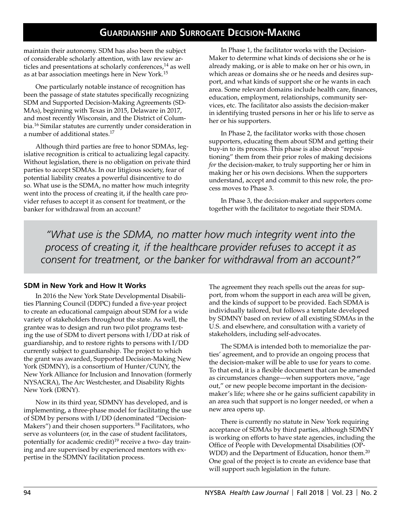maintain their autonomy. SDM has also been the subject of considerable scholarly attention, with law review articles and presentations at scholarly conferences,<sup>14</sup> as well as at bar association meetings here in New York.<sup>15</sup>

One particularly notable instance of recognition has been the passage of state statutes specifically recognizing SDM and Supported Decision-Making Agreements (SD-MAs), beginning with Texas in 2015, Delaware in 2017, and most recently Wisconsin, and the District of Columbia.16 Similar statutes are currently under consideration in a number of additional states.17

Although third parties are free to honor SDMAs, legislative recognition is critical to actualizing legal capacity. Without legislation, there is no obligation on private third parties to accept SDMAs. In our litigious society, fear of potential liability creates a powerful disincentive to do so. What use is the SDMA, no matter how much integrity went into the process of creating it, if the health care provider refuses to accept it as consent for treatment, or the banker for withdrawal from an account?

In Phase 1, the facilitator works with the Decision-Maker to determine what kinds of decisions she or he is already making, or is able to make on her or his own, in which areas or domains she or he needs and desires support, and what kinds of support she or he wants in each area. Some relevant domains include health care, finances, education, employment, relationships, community services, etc. The facilitator also assists the decision-maker in identifying trusted persons in her or his life to serve as her or his supporters.

In Phase 2, the facilitator works with those chosen supporters, educating them about SDM and getting their buy-in to its process. This phase is also about "repositioning" them from their prior roles of making decisions *for* the decision-maker, to truly supporting her or him in making her or his own decisions. When the supporters understand, accept and commit to this new role, the process moves to Phase 3.

In Phase 3, the decision-maker and supporters come together with the facilitator to negotiate their SDMA.

*"What use is the SDMA, no matter how much integrity went into the process of creating it, if the healthcare provider refuses to accept it as consent for treatment, or the banker for withdrawal from an account?"*

### **SDM in New York and How It Works**

In 2016 the New York State Developmental Disabilities Planning Council (DDPC) funded a five-year project to create an educational campaign about SDM for a wide variety of stakeholders throughout the state. As well, the grantee was to design and run two pilot programs testing the use of SDM to divert persons with I/DD at risk of guardianship, and to restore rights to persons with I/DD currently subject to guardianship. The project to which the grant was awarded, Supported Decision-Making New York (SDMNY), is a consortium of Hunter/CUNY, the New York Alliance for Inclusion and Innovation (formerly NYSACRA), The Arc Westchester, and Disability Rights New York (DRNY).

Now in its third year, SDMNY has developed, and is implementing, a three-phase model for facilitating the use of SDM by persons with I/DD (denominated "Decision-Makers") and their chosen supporters.<sup>18</sup> Facilitators, who serve as volunteers (or, in the case of student facilitators, potentially for academic credit)<sup>19</sup> receive a two- day training and are supervised by experienced mentors with expertise in the SDMNY facilitation process.

The agreement they reach spells out the areas for support, from whom the support in each area will be given, and the kinds of support to be provided. Each SDMA is individually tailored, but follows a template developed by SDMNY based on review of all existing SDMAs in the U.S. and elsewhere, and consultation with a variety of stakeholders, including self-advocates.

The SDMA is intended both to memorialize the parties' agreement, and to provide an ongoing process that the decision-maker will be able to use for years to come. To that end, it is a flexible document that can be amended as circumstances change—when supporters move, "age out," or new people become important in the decisionmaker's life; where she or he gains sufficient capability in an area such that support is no longer needed, or when a new area opens up.

There is currently no statute in New York requiring acceptance of SDMAs by third parties, although SDMNY is working on efforts to have state agencies, including the Office of People with Developmental Disabilities (OP-WDD) and the Department of Education, honor them.<sup>20</sup> One goal of the project is to create an evidence base that will support such legislation in the future.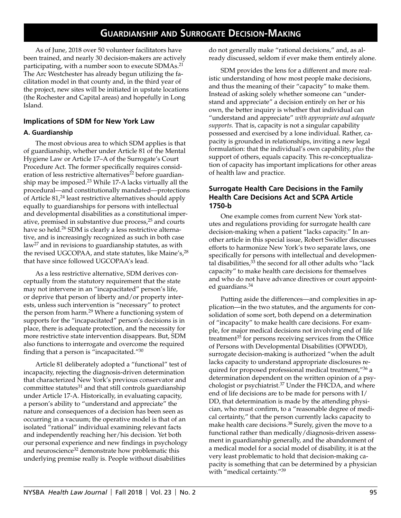As of June, 2018 over 50 volunteer facilitators have been trained, and nearly 30 decision-makers are actively participating, with a number soon to execute SDMAs.21 The Arc Westchester has already begun utilizing the facilitation model in that county and, in the third year of the project, new sites will be initiated in upstate locations (the Rochester and Capital areas) and hopefully in Long Island.

### **Implications of SDM for New York Law**

#### **A. Guardianship**

The most obvious area to which SDM applies is that of guardianship, whether under Article 81 of the Mental Hygiene Law or Article 17–A of the Surrogate's Court Procedure Act. The former specifically requires consideration of less restrictive alternatives<sup>22</sup> before guardianship may be imposed.23 While 17-A lacks virtually all the procedural—and constitutionally mandated—protections of Article 81,24 least restrictive alternatives should apply equally to guardianships for persons with intellectual and developmental disabilities as a constitutional imperative, premised in substantive due process,<sup>25</sup> and courts have so held.<sup>26</sup> SDM is clearly a less restrictive alternative, and is increasingly recognized as such in both case law27 and in revisions to guardianship statutes, as with the revised UGCOPAA, and state statutes, like Maine's,<sup>28</sup> that have since followed UGCOPAA's lead.

As a less restrictive alternative, SDM derives conceptually from the statutory requirement that the state may not intervene in an "incapacitated" person's life, or deprive that person of liberty and/or property interests, unless such intervention is "necessary" to protect the person from harm.<sup>29</sup> Where a functioning system of supports for the "incapacitated" person's decisions is in place, there is adequate protection, and the necessity for more restrictive state intervention disappears. But, SDM also functions to interrogate and overcome the required finding that a person is "incapacitated."30

Article 81 deliberately adopted a "functional" test of incapacity, rejecting the diagnosis-driven determination that characterized New York's previous conservator and committee statutes $31$  and that still controls guardianship under Article 17-A. Historically, in evaluating capacity, a person's ability to "understand and appreciate" the nature and consequences of a decision has been seen as occurring in a vacuum; the operative model is that of an isolated "rational" individual examining relevant facts and independently reaching her/his decision. Yet both our personal experience and new findings in psychology and neuroscience<sup>32</sup> demonstrate how problematic this underlying premise really is. People without disabilities

do not generally make "rational decisions," and, as already discussed, seldom if ever make them entirely alone.

SDM provides the lens for a different and more realistic understanding of how most people make decisions, and thus the meaning of their "capacity" to make them. Instead of asking solely whether someone can "understand and appreciate" a decision entirely on her or his own, the better inquiry is whether that individual can "understand and appreciate" *with appropriate and adequate supports.* That is, capacity is not a singular capability possessed and exercised by a lone individual. Rather, capacity is grounded in relationships, inviting a new legal formulation: that the individual's own capability, *plus* the support of others, equals capacity. This re-conceptualization of capacity has important implications for other areas of health law and practice.

### **Surrogate Health Care Decisions in the Family Health Care Decisions Act and SCPA Article 1750-b**

One example comes from current New York statutes and regulations providing for surrogate health care decision-making when a patient "lacks capacity." In another article in this special issue, Robert Swidler discusses efforts to harmonize New York's two separate laws, one specifically for persons with intellectual and developmental disabilities, $33$  the second for all other adults who "lack capacity" to make health care decisions for themselves and who do not have advance directives or court appointed guardians.<sup>34</sup>

Putting aside the differences—and complexities in application—in the two statutes, and the arguments for consolidation of some sort, both depend on a determination of "incapacity" to make health care decisions. For example, for major medical decisions not involving end of life treatment<sup>35</sup> for persons receiving services from the Office of Persons with Developmental Disabilities (OPWDD), surrogate decision-making is authorized "when the adult lacks capacity to understand appropriate disclosures required for proposed professional medical treatment,"36 a determination dependent on the written opinion of a psychologist or psychiatrist.37 Under the FHCDA, and where end of life decisions are to be made for persons with I/ DD, that determination is made by the attending physician, who must confirm, to a "reasonable degree of medical certainty," that the person currently lacks capacity to make health care decisions.<sup>38</sup> Surely, given the move to a functional rather than medically/diagnosis-driven assessment in guardianship generally, and the abandonment of a medical model for a social model of disability, it is at the very least problematic to hold that decision-making capacity is something that can be determined by a physician with "medical certainty."<sup>39</sup>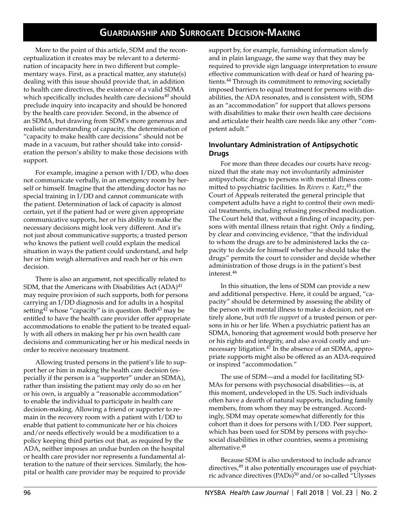More to the point of this article, SDM and the reconceptualization it creates may be relevant to a determination of incapacity here in two different but complementary ways. First, as a practical matter, any statute(s) dealing with this issue should provide that, in addition to health care directives, the existence of a valid SDMA which specifically includes health care decisions $40$  should preclude inquiry into incapacity and should be honored by the health care provider. Second, in the absence of an SDMA, but drawing from SDM's more generous and realistic understanding of capacity, the determination of "capacity to make health care decisions" should not be made in a vacuum, but rather should take into consideration the person's ability to make those decisions with support.

For example, imagine a person with I/DD, who does not communicate verbally, in an emergency room by herself or himself. Imagine that the attending doctor has no special training in I/DD and cannot communicate with the patient. Determination of lack of capacity is almost certain, yet if the patient had or were given appropriate communicative supports, her or his ability to make the necessary decisions might look very different. And it's not just about communicative supports; a trusted person who knows the patient well could explain the medical situation in ways the patient could understand, and help her or him weigh alternatives and reach her or his own decision.

There is also an argument, not specifically related to SDM, that the Americans with Disabilities Act  $(ADA)^{41}$ may require provision of such supports, both for persons carrying an I/DD diagnosis and for adults in a hospital setting<sup>42</sup> whose "capacity" is in question. Both<sup>43</sup> may be entitled to have the health care provider offer appropriate accommodations to enable the patient to be treated equally with all others in making her pr his own health care decisions and communicating her or his medical needs in order to receive necessary treatment.

Allowing trusted persons in the patient's life to support her or him in making the health care decision (especially if the person is a "supporter" under an SDMA), rather than insisting the patient may only do so on her or his own, is arguably a "reasonable accommodation" to enable the individual to participate in health care decision-making. Allowing a friend or supporter to remain in the recovery room with a patient with I/DD to enable that patient to communicate her or his choices and/or needs effectively would be a modification to a policy keeping third parties out that, as required by the ADA, neither imposes an undue burden on the hospital or health care provider nor represents a fundamental alteration to the nature of their services. Similarly, the hospital or health care provider may be required to provide

support by, for example, furnishing information slowly and in plain language, the same way that they may be required to provide sign language interpretation to ensure effective communication with deaf or hard of hearing patients.44 Through its commitment to removing societally imposed barriers to equal treatment for persons with disabilities, the ADA resonates, and is consistent with, SDM as an "accommodation" for support that allows persons with disabilities to make their own health care decisions and articulate their health care needs like any other "competent adult."

#### **Involuntary Administration of Antipsychotic Drugs**

For more than three decades our courts have recognized that the state may not involuntarily administer antipsychotic drugs to persons with mental illness committed to psychiatric facilities. In *Rivers v. Katz*, 45 the Court of Appeals reiterated the general principle that competent adults have a right to control their own medical treatments, including refusing prescribed medication. The Court held that, without a finding of incapacity, persons with mental illness retain that right. Only a finding, by clear and convincing evidence, "that the individual to whom the drugs are to be administered lacks the capacity to decide for himself whether he should take the drugs" permits the court to consider and decide whether administration of those drugs is in the patient's best interest.<sup>46</sup>

In this situation, the lens of SDM can provide a new and additional perspective. Here, it could be argued, "capacity" should be determined by assessing the ability of the person with mental illness to make a decision, not entirely alone, but *with the support* of a trusted person or persons in his or her life. When a psychiatric patient has an SDMA, honoring that agreement would both preserve her or his rights and integrity, and also avoid costly and unnecessary litigation.<sup>47</sup> In the absence of an SDMA, appropriate supports might also be offered as an ADA-required or inspired "accommodation."

The use of SDM—and a model for facilitating SD-MAs for persons with psychosocial disabilities—is, at this moment, undeveloped in the US. Such individuals often have a dearth of natural supports, including family members, from whom they may be estranged. Accordingly, SDM may operate somewhat differently for this cohort than it does for persons with I/DD. Peer support, which has been used for SDM by persons with psychosocial disabilities in other countries, seems a promising alternative.<sup>48</sup>

Because SDM is also understood to include advance directives, $49$  it also potentially encourages use of psychiatric advance directives (PADs)<sup>50</sup> and/or so-called "Ulysses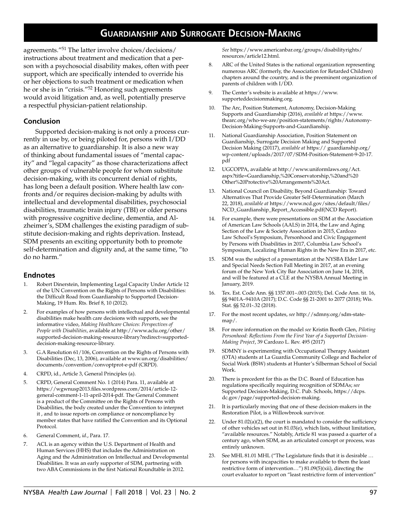agreements."51 The latter involve choices/decisions/ instructions about treatment and medication that a person with a psychosocial disability makes, often with peer support, which are specifically intended to override his or her objections to such treatment or medication when he or she is in "crisis."52 Honoring such agreements would avoid litigation and, as well, potentially preserve a respectful physician-patient relationship.

#### **Conclusion**

Supported decision-making is not only a process currently in use by, or being piloted for, persons with I/DD as an alternative to guardianship. It is also a new way of thinking about fundamental issues of "mental capacity" and "legal capacity" as those characterizations affect other groups of vulnerable people for whom substitute decision-making, with its concurrent denial of rights, has long been a default position. Where health law confronts and/or requires decision-making by adults with intellectual and developmental disabilities, psychosocial disabilities, traumatic brain injury (TBI) or older persons with progressive cognitive decline, dementia, and Alzheimer's, SDM challenges the existing paradigm of substitute decision-making and rights deprivation. Instead, SDM presents an exciting opportunity both to promote self-determination and dignity and, at the same time, "to do no harm."

### **Endnotes**

- 1. Robert Dinerstein, Implementing Legal Capacity Under Article 12 of the UN Convention on the Rights of Persons with Disabilities: the Difficult Road from Guardianship to Supported Decision-Making, 19 Hum. Rts. Brief 8, 10 (2012).
- 2. For examples of how persons with intellectual and developmental disabilities make health care decisions with supports, see the informative video, *Making Healthcare Choices: Perspectives of People with Disabilities*, available at http://www.aclu.org/other/ supported-decision-making-resource-library?redirect=supporteddecision-making-resource-library.
- 3. G.A Resolution 61/106, Convention on the Rights of Persons with Disabilities (Dec, 13, 2006), available at www.un.org/disabilities/ documents/convention/convoptprot-e-pdf (CRPD).
- 4. CRPD, id., Article 3, General Principles (a).
- 5. CRPD, General Comment No. 1 (2014) Para. 11, available at https://wgwnusp2013.files.wordpress.com/2014/article-12 general-comment-1-11-april-2014-pdf. The General Comment is a product of the Committee on the Rights of Persons with Disabilities, the body created under the Convention to interpret it , and to issue reports on compliance or noncompliance by member states that have ratified the Convention and its Optional Protocol.
- 6. General Comment, *id*., Para. 17.
- 7. ACL is an agency within the U.S. Department of Health and Human Services (HHS) that includes the Administration on Aging and the Administration on Intellectual and Developmental Disabilities. It was an early supporter of SDM, partnering with two ABA Commissions in the first National Roundtable in 2012.

*See* https://www.americanbar.org/groups/disabilityrights/ resources/article12.html.

- 8. ARC of the United States is the national organization representing numerous ARC (formerly, the Association for Retarded Children) chapters around the country, and is the preeminent organization of parents of children with I/DD.
- 9. The Center's website is available at https://www. supporteddecisionmaking.org.
- 10. The Arc, Position Statement, Autonomy, Decision-Making Supports and Guardianship (2016), *available at* https://www. thearc.org/who-we-are/position-statements/rights/Autonomy-Decision-Making-Supports-and-Guardianship.
- 11. National Guardianship Association, Position Statement on Guardianship, Surrogate Decision Making and Supported Decision Making (20117), *available at* https:// guardianship.org/ wp-content/uploads/2017/07/SDM-Position-Statement-9-20-17. pdf
- 12. UGCOPPA, available at http://www.uniformlaws.org/Act. aspx?title=Guardianship,%20Conservatorship,%20and%20 Other%20Protective%20Arrangements%20Act.
- 13. National Council on Disability, Beyond Guardianship: Toward Alternatives That Provide Greater Self-Determination (March 22, 2018), *available at* https://www.ncd.gov/sites/default/files/ NCD\_Guardianship\_Report\_Accessible.pdf(NCD Report).
- 14. For example, there were presentations on SDM at the Association of American Law Schools (AALS) in 2014, the Law and Aging Section of the Law & Society Association in 2015, Cardozo Law School's Symposium, Personhood and Civic Engagement by Persons with Disabilities in 2017, Columbia Law School's Symposium, Localizing Human Rights in the New Era in 2017, etc.
- 15. SDM was the subject of a presentation at the NYSBA Elder Law and Special Needs Section Fall Meeting in 2017, at an evening forum of the New York City Bar Association on June 14, 2018, and will be featured at a CLE at the NYSBA Annual Meeting in January, 2019.
- 16. Tex. Est. Code Ann. §§ 1357.001–.003 (2015); Del. Code Ann. tit. 16, §§ 9401A–9410A (2017); D.C. Code §§ 21-2001 to 2077 (2018); Wis. Stat. §§ 52.01-.32 (2018).
- 17. For the most recent updates, *see* http://sdmny.org/sdm-statemap/.
- 18. For more information on the model *see* Kristin Booth Glen, *Piloting Personhood: Reflections From the First Year of a Supported Decision-Making Project*, 39 Cardozo L. Rev. 495 (2017)
- 19. SDMNY is experimenting with Occupational Therapy Assistant (OTA) students at La Guardia Community College and Bachelor of Social Work (BSW) students at Hunter's Silberman School of Social Work.
- 20. There is precedent for this as the D.C. Board of Education has regulations specifically requiring recognition of SDMAs; *see* Supported Decision-Making, D.C. Pub. Schools, https://dcps. dc.gov/page/supported-decision-making.
- 21. It is particularly moving that one of these decision-makers in the Restoration Pilot, is a Willowbrook survivor.
- 22. Under 81.02(a)(2), the court is mandated to consider the sufficiency of other vehicles set out in 81.03(e), which lists, without limitation, "available resources." Notably, Article 81 was passed a quarter of a century ago, when SDM, as an articulated concept or process, was entirely unknown.
- 23. See MHL 81.01 MHL ("The Legislature finds that it is desirable … for persons with incapacities to make available to them the least restrictive form of intervention…") 81.09(5)(xii), directing the court evaluator to report on "least restrictive form of intervention"